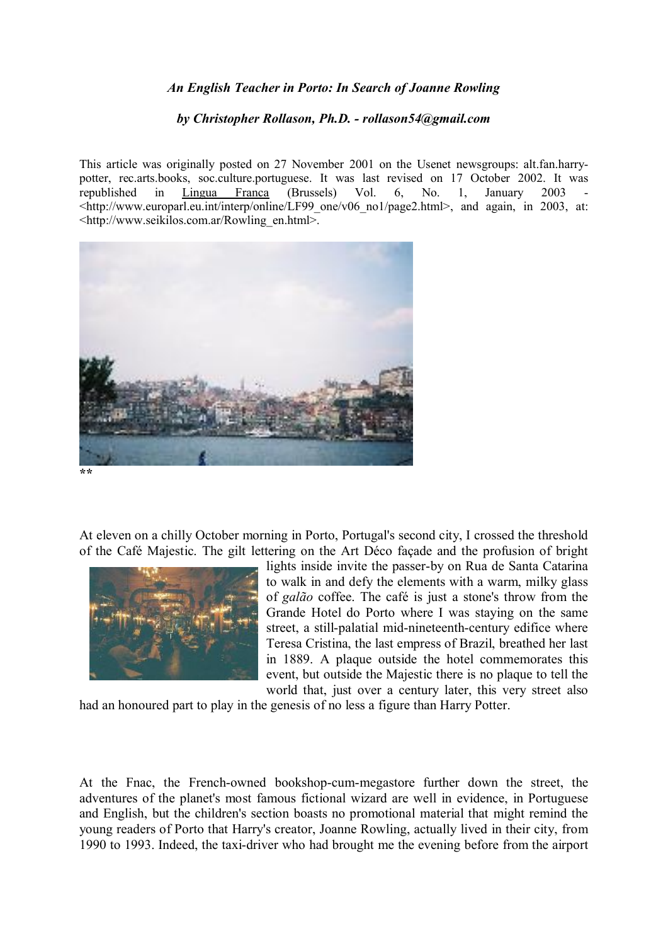## *An English Teacher in Porto: In Search of Joanne Rowling*

## *by Christopher Rollason, Ph.D. - rollason54@gmail.com*

This article was originally posted on 27 November 2001 on the Usenet newsgroups: alt.fan.harrypotter, rec.arts.books, soc.culture.portuguese. It was last revised on 17 October 2002. It was republished in Lingua Franca (Brussels) Vol. 6, No. 1, January 2003  $\lt$ http://www.europarl.eu.int/interp/online/LF99\_one/v06\_no1/page2.html>, and again, in 2003, at: <http://www.seikilos.com.ar/Rowling\_en.html>.



**\*\***

At eleven on a chilly October morning in Porto, Portugal's second city, I crossed the threshold of the Café Majestic. The gilt lettering on the Art Déco façade and the profusion of bright



lights inside invite the passer-by on Rua de Santa Catarina to walk in and defy the elements with a warm, milky glass of *galão* coffee. The café is just a stone's throw from the Grande Hotel do Porto where I was staying on the same street, a still-palatial mid-nineteenth-century edifice where Teresa Cristina, the last empress of Brazil, breathed her last in 1889. A plaque outside the hotel commemorates this event, but outside the Majestic there is no plaque to tell the world that, just over a century later, this very street also

had an honoured part to play in the genesis of no less a figure than Harry Potter.

At the Fnac, the French-owned bookshop-cum-megastore further down the street, the adventures of the planet's most famous fictional wizard are well in evidence, in Portuguese and English, but the children's section boasts no promotional material that might remind the young readers of Porto that Harry's creator, Joanne Rowling, actually lived in their city, from 1990 to 1993. Indeed, the taxi-driver who had brought me the evening before from the airport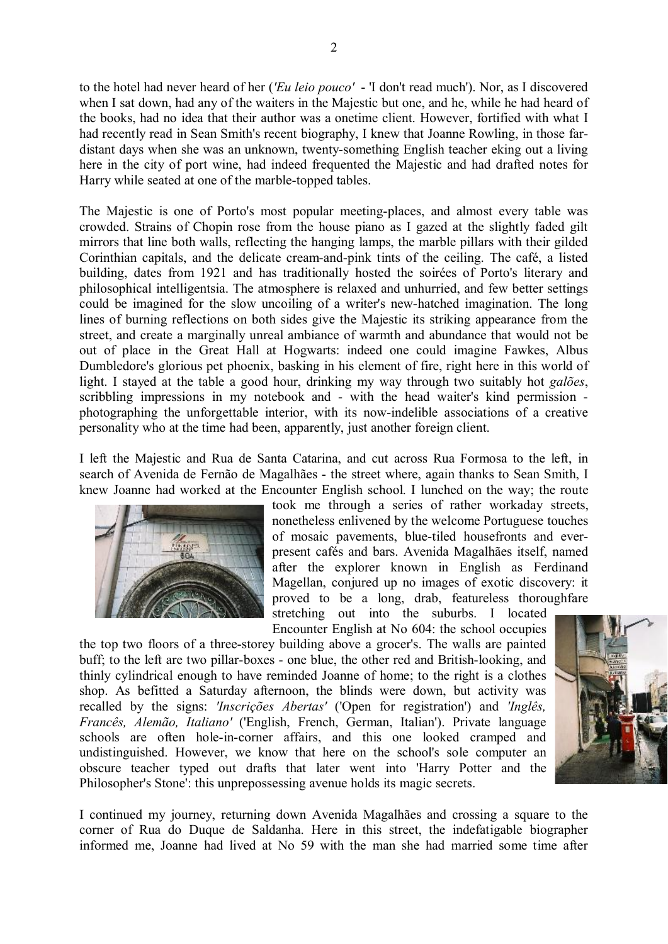to the hotel had never heard of her (*'Eu leio pouco'* - 'I don't read much'). Nor, as I discovered when I sat down, had any of the waiters in the Majestic but one, and he, while he had heard of the books, had no idea that their author was a onetime client. However, fortified with what I had recently read in Sean Smith's recent biography, I knew that Joanne Rowling, in those fardistant days when she was an unknown, twenty-something English teacher eking out a living here in the city of port wine, had indeed frequented the Majestic and had drafted notes for Harry while seated at one of the marble-topped tables.

The Majestic is one of Porto's most popular meeting-places, and almost every table was crowded. Strains of Chopin rose from the house piano as I gazed at the slightly faded gilt mirrors that line both walls, reflecting the hanging lamps, the marble pillars with their gilded Corinthian capitals, and the delicate cream-and-pink tints of the ceiling. The café, a listed building, dates from 1921 and has traditionally hosted the soirées of Porto's literary and philosophical intelligentsia. The atmosphere is relaxed and unhurried, and few better settings could be imagined for the slow uncoiling of a writer's new-hatched imagination. The long lines of burning reflections on both sides give the Majestic its striking appearance from the street, and create a marginally unreal ambiance of warmth and abundance that would not be out of place in the Great Hall at Hogwarts: indeed one could imagine Fawkes, Albus Dumbledore's glorious pet phoenix, basking in his element of fire, right here in this world of light. I stayed at the table a good hour, drinking my way through two suitably hot *galões*, scribbling impressions in my notebook and - with the head waiter's kind permission photographing the unforgettable interior, with its now-indelible associations of a creative personality who at the time had been, apparently, just another foreign client.

I left the Majestic and Rua de Santa Catarina, and cut across Rua Formosa to the left, in search of Avenida de Fernão de Magalhães - the street where, again thanks to Sean Smith, I knew Joanne had worked at the Encounter English school. I lunched on the way; the route



took me through a series of rather workaday streets, nonetheless enlivened by the welcome Portuguese touches of mosaic pavements, blue-tiled housefronts and everpresent cafés and bars. Avenida Magalhães itself, named after the explorer known in English as Ferdinand Magellan, conjured up no images of exotic discovery: it proved to be a long, drab, featureless thoroughfare stretching out into the suburbs. I located

Encounter English at No 604: the school occupies the top two floors of a three-storey building above a grocer's. The walls are painted buff; to the left are two pillar-boxes - one blue, the other red and British-looking, and thinly cylindrical enough to have reminded Joanne of home; to the right is a clothes shop. As befitted a Saturday afternoon, the blinds were down, but activity was recalled by the signs: *'Inscrições Abertas'* ('Open for registration') and *'Inglês, Francês, Alemão, Italiano'* ('English, French, German, Italian'). Private language schools are often hole-in-corner affairs, and this one looked cramped and undistinguished. However, we know that here on the school's sole computer an obscure teacher typed out drafts that later went into 'Harry Potter and the Philosopher's Stone': this unprepossessing avenue holds its magic secrets.



I continued my journey, returning down Avenida Magalhães and crossing a square to the corner of Rua do Duque de Saldanha. Here in this street, the indefatigable biographer informed me, Joanne had lived at No 59 with the man she had married some time after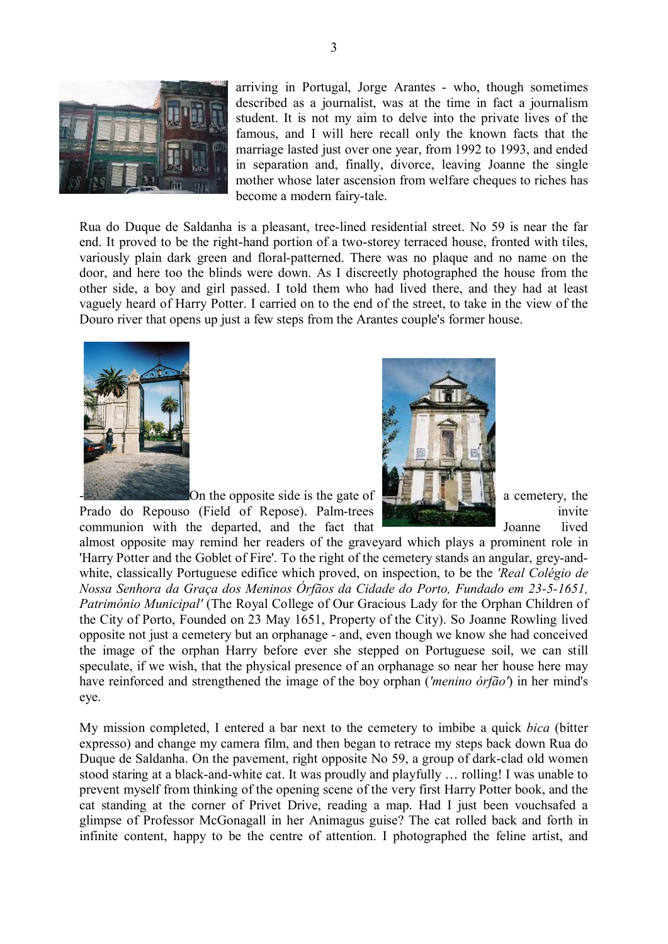

arriving in Portugal, Jorge Arantes - who, though sometimes described as a journalist, was at the time in fact a journalism student. It is not my aim to delve into the private lives of the famous, and I will here recall only the known facts that the marriage lasted just over one year, from 1992 to 1993, and ended in separation and, finally, divorce, leaving Joanne the single mother whose later ascension from welfare cheques to riches has become a modern fairy-tale.

Rua do Duque de Saldanha is a pleasant, tree-lined residential street. No 59 is near the far end. It proved to be the right-hand portion of a two-storey terraced house, fronted with tiles, variously plain dark green and floral-patterned. There was no plaque and no name on the door, and here too the blinds were down. As I discreetly photographed the house from the other side, a boy and girl passed. I told them who had lived there, and they had at least vaguely heard of Harry Potter. I carried on to the end of the street, to take in the view of the Douro river that opens up just a few steps from the Arantes couple's former house.





Prado do Repouso (Field of Repose). Palm-trees **invited and report invited** invite communion with the departed, and the fact that **Figure 1** Joanne lived

almost opposite may remind her readers of the graveyard which plays a prominent role in 'Harry Potter and the Goblet of Fire'. To the right of the cemetery stands an angular, grey-andwhite, classically Portuguese edifice which proved, on inspection, to be the *'Real Colégio de Nossa Senhora da Graça dos Meninos Órfãos da Cidade do Porto, Fundado em 23-5-1651, Património Municipal'* (The Royal College of Our Gracious Lady for the Orphan Children of the City of Porto, Founded on 23 May 1651, Property of the City). So Joanne Rowling lived opposite not just a cemetery but an orphanage - and, even though we know she had conceived the image of the orphan Harry before ever she stepped on Portuguese soil, we can still speculate, if we wish, that the physical presence of an orphanage so near her house here may have reinforced and strengthened the image of the boy orphan (*'menino órfão'*) in her mind's eye.

My mission completed, I entered a bar next to the cemetery to imbibe a quick *bica* (bitter expresso) and change my camera film, and then began to retrace my steps back down Rua do Duque de Saldanha. On the pavement, right opposite No 59, a group of dark-clad old women stood staring at a black-and-white cat. It was proudly and playfully … rolling! I was unable to prevent myself from thinking of the opening scene of the very first Harry Potter book, and the cat standing at the corner of Privet Drive, reading a map. Had I just been vouchsafed a glimpse of Professor McGonagall in her Animagus guise? The cat rolled back and forth in infinite content, happy to be the centre of attention. I photographed the feline artist, and